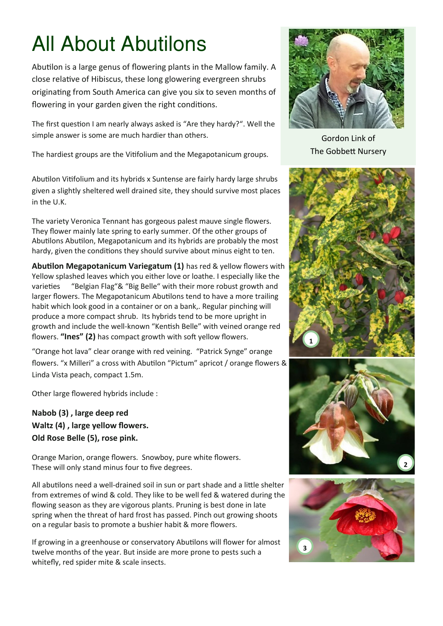## All About Abutilons

Abutilon is a large genus of flowering plants in the Mallow family. A close relative of Hibiscus, these long glowering evergreen shrubs originating from South America can give you six to seven months of flowering in your garden given the right conditions.

The first question I am nearly always asked is "Are they hardy?". Well the simple answer is some are much hardier than others.

The hardiest groups are the Vitifolium and the Megapotanicum groups.

Abutilon Vitifolium and its hybrids x Suntense are fairly hardy large shrubs given a slightly sheltered well drained site, they should survive most places in the U.K.

The variety Veronica Tennant has gorgeous palest mauve single flowers. They flower mainly late spring to early summer. Of the other groups of Abutilons Abutilon, Megapotanicum and its hybrids are probably the most hardy, given the conditions they should survive about minus eight to ten.

**Abutilon Megapotanicum Variegatum (1)** has red & yellow flowers with Yellow splashed leaves which you either love or loathe. I especially like the varieties "Belgian Flag"& "Big Belle" with their more robust growth and larger flowers. The Megapotanicum Abutilons tend to have a more trailing habit which look good in a container or on a bank,. Regular pinching will produce a more compact shrub. Its hybrids tend to be more upright in growth and include the well-known "Kentish Belle" with veined orange red flowers. **"Ines" (2)** has compact growth with soft yellow flowers.

"Orange hot lava" clear orange with red veining. "Patrick Synge" orange flowers. "x Milleri" a cross with Abutilon "Pictum" apricot / orange flowers & Linda Vista peach, compact 1.5m.

Other large flowered hybrids include :

**Nabob (3) , large deep red Waltz (4) , large yellow flowers. Old Rose Belle (5), rose pink.** 

Orange Marion, orange flowers. Snowboy, pure white flowers. These will only stand minus four to five degrees.

All abutilons need a well-drained soil in sun or part shade and a little shelter from extremes of wind & cold. They like to be well fed & watered during the flowing season as they are vigorous plants. Pruning is best done in late spring when the threat of hard frost has passed. Pinch out growing shoots on a regular basis to promote a bushier habit & more flowers.

If growing in a greenhouse or conservatory Abutilons will flower for almost twelve months of the year. But inside are more prone to pests such a whitefly, red spider mite & scale insects.



Gordon Link of The Gobbett Nursery